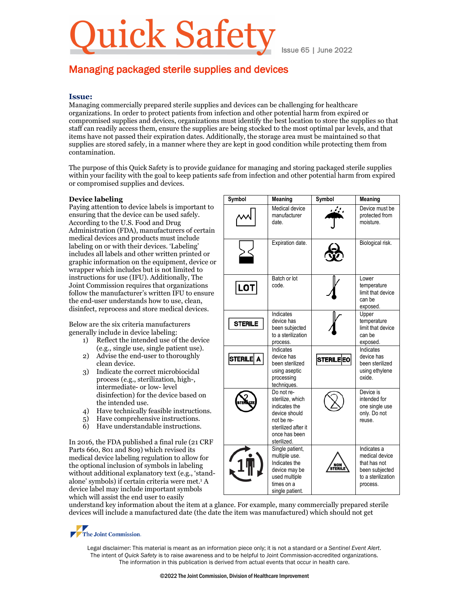# ick Safet

Issue 65 | June 2022

## Managing packaged sterile supplies and devices

### **Issue:**

Managing commercially prepared sterile supplies and devices can be challenging for healthcare organizations. In order to protect patients from infection and other potential harm from expired or compromised supplies and devices, organizations must identify the best location to store the supplies so that staff can readily access them, ensure the supplies are being stocked to the most optimal par levels, and that items have not passed their expiration dates. Additionally, the storage area must be maintained so that supplies are stored safely, in a manner where they are kept in good condition while protecting them from contamination.

The purpose of this Quick Safety is to provide guidance for managing and storing packaged sterile supplies within your facility with the goal to keep patients safe from infection and other potential harm from expired or compromised supplies and devices.

#### **Device labeling**

Paying attention to device labels is important to ensuring that the device can be used safely. According to the U.S. Food and Drug Administration (FDA), manufacturers of certain medical devices and products must include labeling on or with their devices. 'Labeling' includes all labels and other written printed or graphic information on the equipment, device or wrapper which includes but is not limited to instructions for use (IFU). Additionally, The Joint Commission requires that organizations follow the manufacturer's written IFU to ensure the end-user understands how to use, clean, disinfect, reprocess and store medical devices.

Below are the six criteria manufacturers generally include in device labeling:

- 1) Reflect the intended use of the device (e.g., single use, single patient use).
- 2) Advise the end-user to thoroughly clean device.
- 3) Indicate the correct microbiocidal process (e.g., sterilization, high-, intermediate- or low- level disinfection) for the device based on the intended use.
- 4) Have technically feasible instructions.
- 5) Have comprehensive instructions.
- 6) Have understandable instructions.

In 2016, the FDA published a final rule (21 CRF Parts 660, 801 and 809) which revised its medical device labeling regulation to allow for the optional inclusion of symbols in labeling without additional explanatory text (e.g., 'standalone' symbols) if certain criteria were met.<sup>1</sup> A device label may include important symbols which will assist the end user to easily

| Symbol         | Meaning                                                                                                                               | Symbol           | Meaning                                                                                           |
|----------------|---------------------------------------------------------------------------------------------------------------------------------------|------------------|---------------------------------------------------------------------------------------------------|
|                | Medical device<br>manufacturer<br>date.                                                                                               |                  | Device must be<br>protected from<br>moisture.                                                     |
|                | Expiration date.                                                                                                                      |                  | Biological risk.                                                                                  |
| $ $ LOT $ $    | Batch or lot<br>code.                                                                                                                 |                  | Lower<br>temperature<br>limit that device<br>can be<br>exposed.                                   |
| <b>STERILE</b> | Indicates<br>device has<br>been subjected<br>to a sterilization<br>process.                                                           |                  | Upper<br>temperature<br>limit that device<br>can be<br>exposed.                                   |
| STERILE A      | Indicates<br>device has<br>been sterilized<br>using aseptic<br>processing<br>techniques.                                              | <b>STERILEEO</b> | Indicates<br>device has<br>been sterilized<br>using ethylene<br>oxide.                            |
|                | Do not re-<br>sterilize, which<br>indicates the<br>device should<br>not be re-<br>sterilized after it<br>once has been<br>sterilized. |                  | Device is<br>intended for<br>one single use<br>only. Do not<br>reuse.                             |
|                | Single patient,<br>multiple use.<br>Indicates the<br>device may be<br>used multiple<br>times on a<br>single patient.                  |                  | Indicates a<br>medical device<br>that has not<br>been subjected<br>to a sterilization<br>process. |

understand key information about the item at a glance. For example, many commercially prepared sterile devices will include a manufactured date (the date the item was manufactured) which should not get

The Joint Commission.

Legal disclaimer: This material is meant as an information piece only; it is not a standard or a *Sentinel Event Alert*. The intent of *Quick Safety* is to raise awareness and to be helpful to Joint Commission-accredited organizations. The information in this publication is derived from actual events that occur in health care.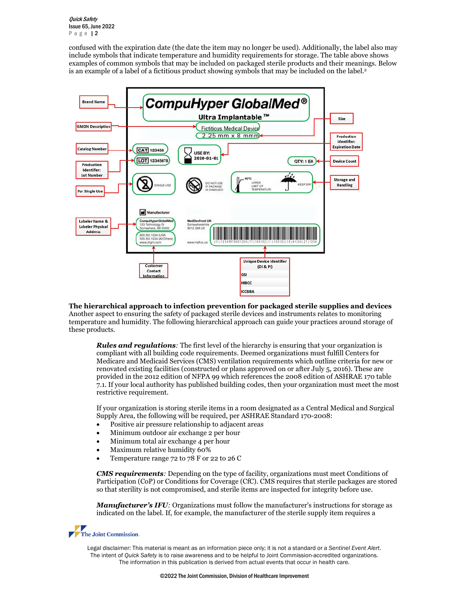Quick Safety Issue 65, June 2022 Page | 2

confused with the expiration date (the date the item may no longer be used). Additionally, the label also may include symbols that indicate temperature and humidity requirements for storage. The table above shows examples of common symbols that may be included on packaged sterile products and their meanings. Below is an example of a label of a fictitious product showing symbols that may be included on the label.<sup>2</sup>



**The hierarchical approach to infection prevention for packaged sterile supplies and devices** Another aspect to ensuring the safety of packaged sterile devices and instruments relates to monitoring temperature and humidity. The following hierarchical approach can guide your practices around storage of these products.

*Rules and regulations:* The first level of the hierarchy is ensuring that your organization is compliant with all building code requirements. Deemed organizations must fulfill Centers for Medicare and Medicaid Services (CMS) ventilation requirements which outline criteria for new or renovated existing facilities (constructed or plans approved on or after July 5, 2016). These are provided in the 2012 edition of NFPA 99 which references the 2008 edition of ASHRAE 170 table 7.1. If your local authority has published building codes, then your organization must meet the most restrictive requirement.

If your organization is storing sterile items in a room designated as a Central Medical and Surgical Supply Area, the following will be required, per ASHRAE Standard 170-2008:

- Positive air pressure relationship to adjacent areas
- Minimum outdoor air exchange 2 per hour
- Minimum total air exchange 4 per hour
- Maximum relative humidity 60%
- Temperature range 72 to 78 F or 22 to 26 C

*CMS requirements:* Depending on the type of facility, organizations must meet Conditions of Participation (CoP) or Conditions for Coverage (CfC). CMS requires that sterile packages are stored so that sterility is not compromised, and sterile items are inspected for integrity before use.

*Manufacturer's IFU:* Organizations must follow the manufacturer's instructions for storage as indicated on the label. If, for example, the manufacturer of the sterile supply item requires a

The Joint Commission.

Legal disclaimer: This material is meant as an information piece only; it is not a standard or a *Sentinel Event Alert*. The intent of *Quick Safety* is to raise awareness and to be helpful to Joint Commission-accredited organizations. The information in this publication is derived from actual events that occur in health care.